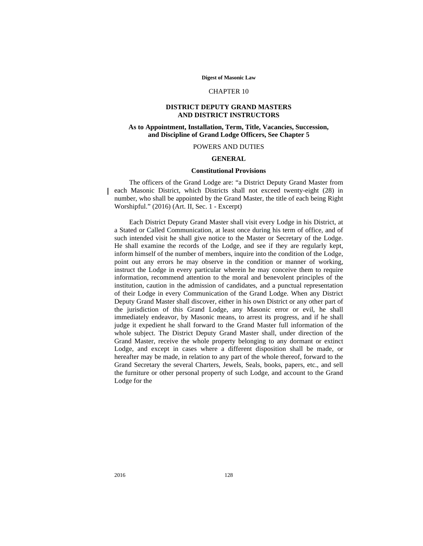#### **Digest of Masonic Law**

# CHAPTER 10

# **DISTRICT DEPUTY GRAND MASTERS AND DISTRICT INSTRUCTORS**

# **As to Appointment, Installation, Term, Title, Vacancies, Succession, and Discipline of Grand Lodge Officers, See Chapter 5**

# POWERS AND DUTIES

# **GENERAL**

# **Constitutional Provisions**

The officers of the Grand Lodge are: "a District Deputy Grand Master from each Masonic District, which Districts shall not exceed twenty-eight (28) in number, who shall be appointed by the Grand Master, the title of each being Right Worshipful." (2016) (Art. II, Sec. 1 - Excerpt)

Each District Deputy Grand Master shall visit every Lodge in his District, at a Stated or Called Communication, at least once during his term of office, and of such intended visit he shall give notice to the Master or Secretary of the Lodge. He shall examine the records of the Lodge, and see if they are regularly kept, inform himself of the number of members, inquire into the condition of the Lodge, point out any errors he may observe in the condition or manner of working, instruct the Lodge in every particular wherein he may conceive them to require information, recommend attention to the moral and benevolent principles of the institution, caution in the admission of candidates, and a punctual representation of their Lodge in every Communication of the Grand Lodge. When any District Deputy Grand Master shall discover, either in his own District or any other part of the jurisdiction of this Grand Lodge, any Masonic error or evil, he shall immediately endeavor, by Masonic means, to arrest its progress, and if he shall judge it expedient he shall forward to the Grand Master full information of the whole subject. The District Deputy Grand Master shall, under direction of the Grand Master, receive the whole property belonging to any dormant or extinct Lodge, and except in cases where a different disposition shall be made, or hereafter may be made, in relation to any part of the whole thereof, forward to the Grand Secretary the several Charters, Jewels, Seals, books, papers, etc., and sell the furniture or other personal property of such Lodge, and account to the Grand Lodge for the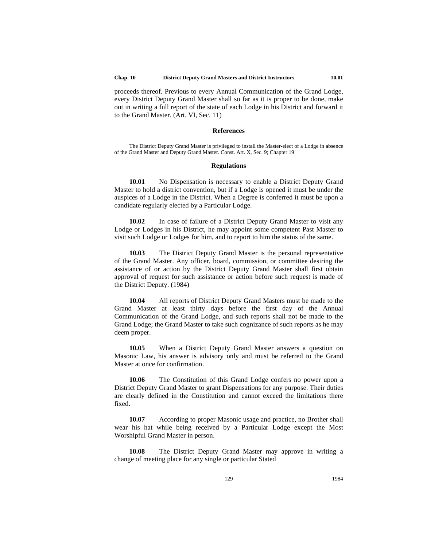proceeds thereof. Previous to every Annual Communication of the Grand Lodge, every District Deputy Grand Master shall so far as it is proper to be done, make out in writing a full report of the state of each Lodge in his District and forward it to the Grand Master. (Art. VI, Sec. 11)

#### **References**

The District Deputy Grand Master is privileged to install the Master-elect of a Lodge in absence of the Grand Master and Deputy Grand Master. Const. Art. X, Sec. 9; Chapter 19

# **Regulations**

**10.01** No Dispensation is necessary to enable a District Deputy Grand Master to hold a district convention, but if a Lodge is opened it must be under the auspices of a Lodge in the District. When a Degree is conferred it must be upon a candidate regularly elected by a Particular Lodge.

**10.02** In case of failure of a District Deputy Grand Master to visit any Lodge or Lodges in his District, he may appoint some competent Past Master to visit such Lodge or Lodges for him, and to report to him the status of the same.

**10.03** The District Deputy Grand Master is the personal representative of the Grand Master. Any officer, board, commission, or committee desiring the assistance of or action by the District Deputy Grand Master shall first obtain approval of request for such assistance or action before such request is made of the District Deputy. (1984)

**10.04** All reports of District Deputy Grand Masters must be made to the Grand Master at least thirty days before the first day of the Annual Communication of the Grand Lodge, and such reports shall not be made to the Grand Lodge; the Grand Master to take such cognizance of such reports as he may deem proper.

**10.05** When a District Deputy Grand Master answers a question on Masonic Law, his answer is advisory only and must be referred to the Grand Master at once for confirmation.

**10.06** The Constitution of this Grand Lodge confers no power upon a District Deputy Grand Master to grant Dispensations for any purpose. Their duties are clearly defined in the Constitution and cannot exceed the limitations there fixed.

**10.07** According to proper Masonic usage and practice, no Brother shall wear his hat while being received by a Particular Lodge except the Most Worshipful Grand Master in person.

**10.08** The District Deputy Grand Master may approve in writing a change of meeting place for any single or particular Stated

129 1984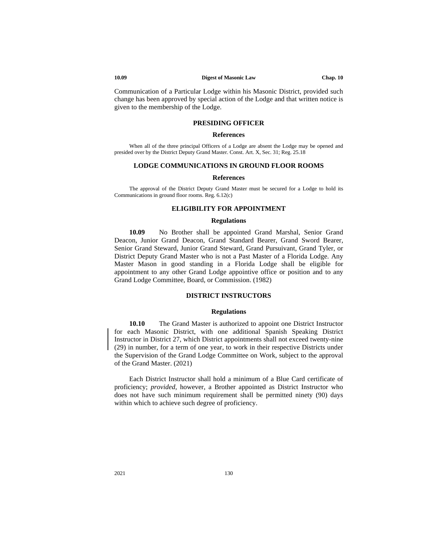#### **10.09 Digest of Masonic Law Chap. 10**

Communication of a Particular Lodge within his Masonic District, provided such change has been approved by special action of the Lodge and that written notice is given to the membership of the Lodge.

# **PRESIDING OFFICER**

# **References**

When all of the three principal Officers of a Lodge are absent the Lodge may be opened and presided over by the District Deputy Grand Master. Const. Art. X, Sec. 31; Reg. 25.18

#### **LODGE COMMUNICATIONS IN GROUND FLOOR ROOMS**

#### **References**

The approval of the District Deputy Grand Master must be secured for a Lodge to hold its Communications in ground floor rooms. Reg. 6.12(c)

# **ELIGIBILITY FOR APPOINTMENT**

# **Regulations**

**10.09** No Brother shall be appointed Grand Marshal, Senior Grand Deacon, Junior Grand Deacon, Grand Standard Bearer, Grand Sword Bearer, Senior Grand Steward, Junior Grand Steward, Grand Pursuivant, Grand Tyler, or District Deputy Grand Master who is not a Past Master of a Florida Lodge. Any Master Mason in good standing in a Florida Lodge shall be eligible for appointment to any other Grand Lodge appointive office or position and to any Grand Lodge Committee, Board, or Commission. (1982)

# **DISTRICT INSTRUCTORS**

# **Regulations**

**10.10** The Grand Master is authorized to appoint one District Instructor for each Masonic District, with one additional Spanish Speaking District Instructor in District 27, which District appointments shall not exceed twenty-nine (29) in number, for a term of one year, to work in their respective Districts under the Supervision of the Grand Lodge Committee on Work, subject to the approval of the Grand Master. (2021)

Each District Instructor shall hold a minimum of a Blue Card certificate of proficiency; *provided*, however, a Brother appointed as District Instructor who does not have such minimum requirement shall be permitted ninety (90) days within which to achieve such degree of proficiency.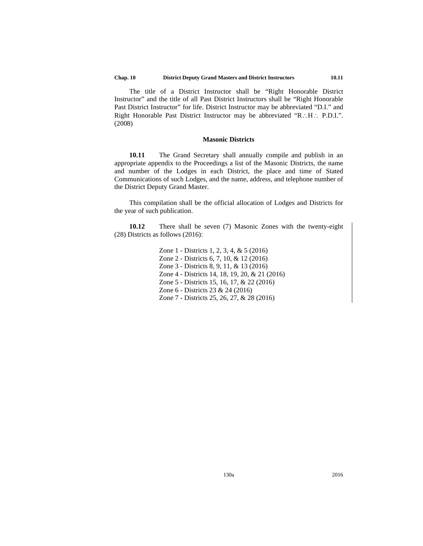The title of a District Instructor shall be "Right Honorable District Instructor" and the title of all Past District Instructors shall be "Right Honorable Past District Instructor" for life. District Instructor may be abbreviated "D.I." and Right Honorable Past District Instructor may be abbreviated "R∴H∴ P.D.I.". (2008)

# **Masonic Districts**

**10.11** The Grand Secretary shall annually compile and publish in an appropriate appendix to the Proceedings a list of the Masonic Districts, the name and number of the Lodges in each District, the place and time of Stated Communications of such Lodges, and the name, address, and telephone number of the District Deputy Grand Master.

This compilation shall be the official allocation of Lodges and Districts for the year of such publication.

**10.12** There shall be seven (7) Masonic Zones with the twenty-eight (28) Districts as follows (2016):

> Zone 1 - Districts 1, 2, 3, 4, & 5 (2016) Zone 2 - Districts 6, 7, 10, & 12 (2016) Zone 3 - Districts 8, 9, 11, & 13 (2016) Zone 4 - Districts 14, 18, 19, 20, & 21 (2016) Zone 5 - Districts 15, 16, 17, & 22 (2016) Zone 6 - Districts 23 & 24 (2016) Zone 7 - Districts 25, 26, 27, & 28 (2016)